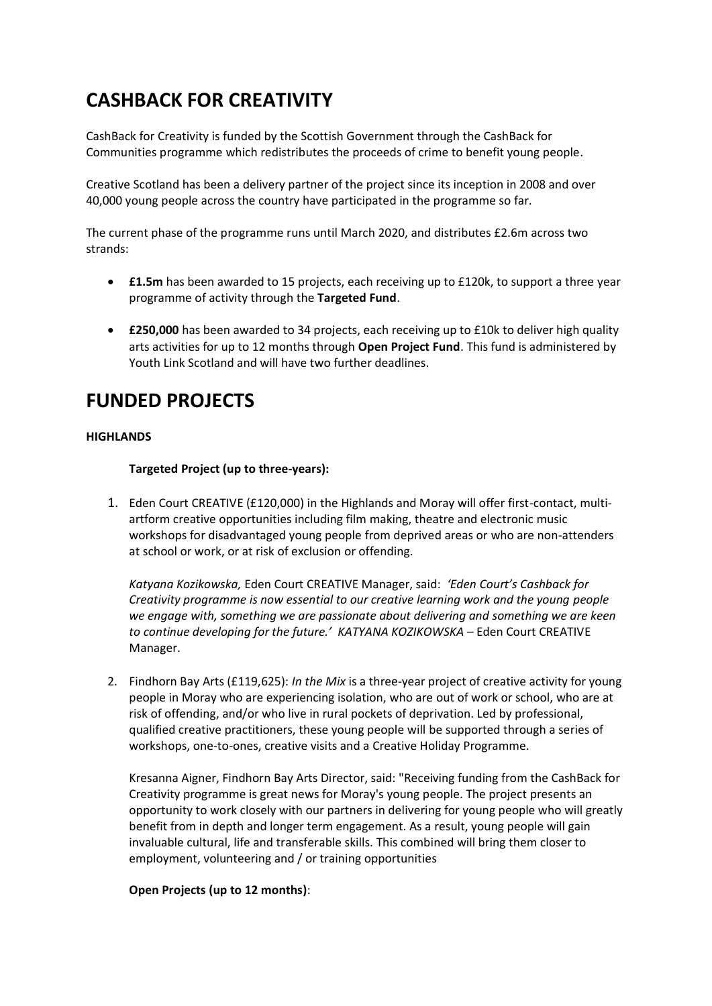# **CASHBACK FOR CREATIVITY**

CashBack for Creativity is funded by the Scottish Government through the CashBack for Communities programme which redistributes the proceeds of crime to benefit young people.

Creative Scotland has been a delivery partner of the project since its inception in 2008 and over 40,000 young people across the country have participated in the programme so far.

The current phase of the programme runs until March 2020, and distributes £2.6m across two strands:

- **£1.5m** has been awarded to 15 projects, each receiving up to £120k, to support a three year programme of activity through the **Targeted Fund**.
- **£250,000** has been awarded to 34 projects, each receiving up to £10k to deliver high quality arts activities for up to 12 months through **Open Project Fund**. This fund is administered by Youth Link Scotland and will have two further deadlines.

## **FUNDED PROJECTS**

## **HIGHLANDS**

**Targeted Project (up to three-years):** 

1. Eden Court CREATIVE (£120,000) in the Highlands and Moray will offer first-contact, multiartform creative opportunities including film making, theatre and electronic music workshops for disadvantaged young people from deprived areas or who are non-attenders at school or work, or at risk of exclusion or offending.

*Katyana Kozikowska,* Eden Court CREATIVE Manager, said: *'Eden Court's Cashback for Creativity programme is now essential to our creative learning work and the young people we engage with, something we are passionate about delivering and something we are keen to continue developing for the future.' KATYANA KOZIKOWSKA –* Eden Court CREATIVE Manager.

2. Findhorn Bay Arts (£119,625): *In the Mix* is a three-year project of creative activity for young people in Moray who are experiencing isolation, who are out of work or school, who are at risk of offending, and/or who live in rural pockets of deprivation. Led by professional, qualified creative practitioners, these young people will be supported through a series of workshops, one-to-ones, creative visits and a Creative Holiday Programme.

Kresanna Aigner, Findhorn Bay Arts Director, said: "Receiving funding from the CashBack for Creativity programme is great news for Moray's young people. The project presents an opportunity to work closely with our partners in delivering for young people who will greatly benefit from in depth and longer term engagement. As a result, young people will gain invaluable cultural, life and transferable skills. This combined will bring them closer to employment, volunteering and / or training opportunities

## **Open Projects (up to 12 months)**: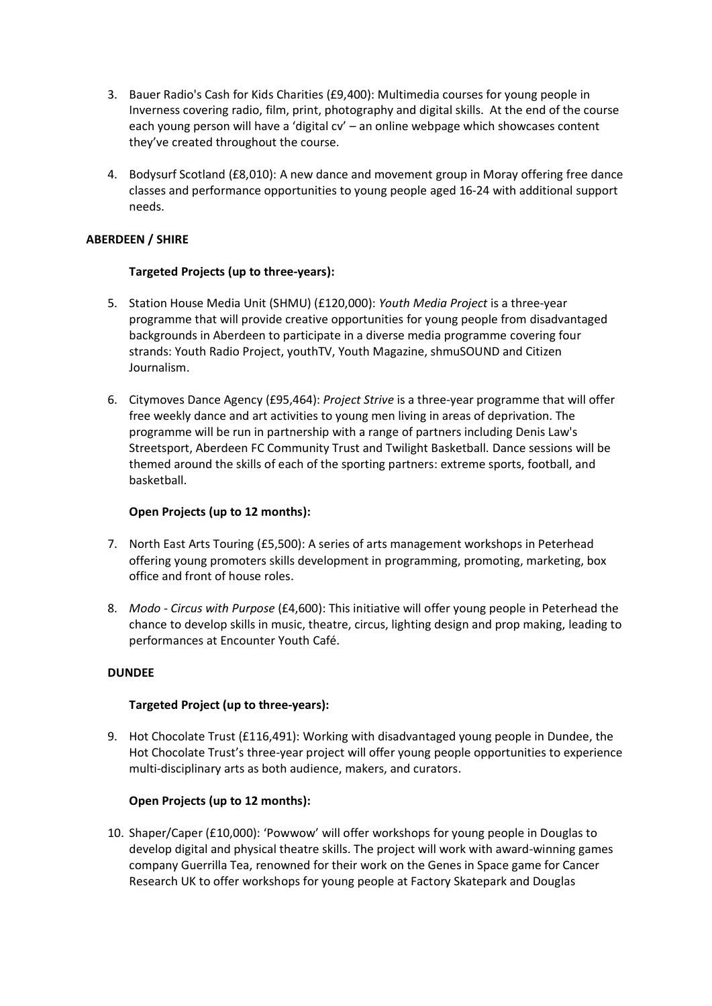- 3. Bauer Radio's Cash for Kids Charities (£9,400): Multimedia courses for young people in Inverness covering radio, film, print, photography and digital skills. At the end of the course each young person will have a 'digital cv' – an online webpage which showcases content they've created throughout the course.
- 4. Bodysurf Scotland (£8,010): A new dance and movement group in Moray offering free dance classes and performance opportunities to young people aged 16-24 with additional support needs.

## **ABERDEEN / SHIRE**

## **Targeted Projects (up to three-years):**

- 5. Station House Media Unit (SHMU) (£120,000): *Youth Media Project* is a three-year programme that will provide creative opportunities for young people from disadvantaged backgrounds in Aberdeen to participate in a diverse media programme covering four strands: Youth Radio Project, youthTV, Youth Magazine, shmuSOUND and Citizen Journalism.
- 6. Citymoves Dance Agency (£95,464): *Project Strive* is a three-year programme that will offer free weekly dance and art activities to young men living in areas of deprivation. The programme will be run in partnership with a range of partners including Denis Law's Streetsport, Aberdeen FC Community Trust and Twilight Basketball. Dance sessions will be themed around the skills of each of the sporting partners: extreme sports, football, and basketball.

## **Open Projects (up to 12 months):**

- 7. North East Arts Touring (£5,500): A series of arts management workshops in Peterhead offering young promoters skills development in programming, promoting, marketing, box office and front of house roles.
- 8. *Modo - Circus with Purpose* (£4,600): This initiative will offer young people in Peterhead the chance to develop skills in music, theatre, circus, lighting design and prop making, leading to performances at Encounter Youth Café.

## **DUNDEE**

## **Targeted Project (up to three-years):**

9. Hot Chocolate Trust (£116,491): Working with disadvantaged young people in Dundee, the Hot Chocolate Trust's three-year project will offer young people opportunities to experience multi-disciplinary arts as both audience, makers, and curators.

## **Open Projects (up to 12 months):**

10. Shaper/Caper (£10,000): 'Powwow' will offer workshops for young people in Douglas to develop digital and physical theatre skills. The project will work with award-winning games company Guerrilla Tea, renowned for their work on the Genes in Space game for Cancer Research UK to offer workshops for young people at Factory Skatepark and Douglas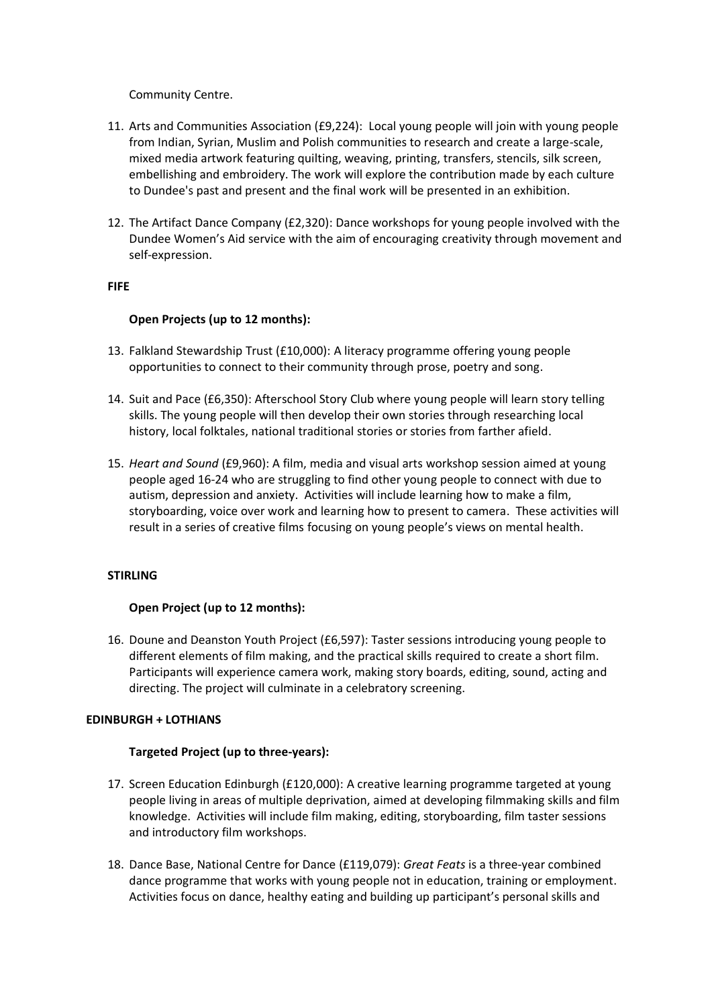Community Centre.

- 11. Arts and Communities Association (£9,224): Local young people will join with young people from Indian, Syrian, Muslim and Polish communities to research and create a large-scale, mixed media artwork featuring quilting, weaving, printing, transfers, stencils, silk screen, embellishing and embroidery. The work will explore the contribution made by each culture to Dundee's past and present and the final work will be presented in an exhibition.
- 12. The Artifact Dance Company (£2,320): Dance workshops for young people involved with the Dundee Women's Aid service with the aim of encouraging creativity through movement and self-expression.

## **FIFE**

## **Open Projects (up to 12 months):**

- 13. Falkland Stewardship Trust (£10,000): A literacy programme offering young people opportunities to connect to their community through prose, poetry and song.
- 14. Suit and Pace (£6,350): Afterschool Story Club where young people will learn story telling skills. The young people will then develop their own stories through researching local history, local folktales, national traditional stories or stories from farther afield.
- 15. *Heart and Sound* (£9,960): A film, media and visual arts workshop session aimed at young people aged 16-24 who are struggling to find other young people to connect with due to autism, depression and anxiety. Activities will include learning how to make a film, storyboarding, voice over work and learning how to present to camera. These activities will result in a series of creative films focusing on young people's views on mental health.

## **STIRLING**

## **Open Project (up to 12 months):**

16. Doune and Deanston Youth Project (£6,597): Taster sessions introducing young people to different elements of film making, and the practical skills required to create a short film. Participants will experience camera work, making story boards, editing, sound, acting and directing. The project will culminate in a celebratory screening.

## **EDINBURGH + LOTHIANS**

## **Targeted Project (up to three-years):**

- 17. Screen Education Edinburgh (£120,000): A creative learning programme targeted at young people living in areas of multiple deprivation, aimed at developing filmmaking skills and film knowledge. Activities will include film making, editing, storyboarding, film taster sessions and introductory film workshops.
- 18. Dance Base, National Centre for Dance (£119,079): *Great Feats* is a three-year combined dance programme that works with young people not in education, training or employment. Activities focus on dance, healthy eating and building up participant's personal skills and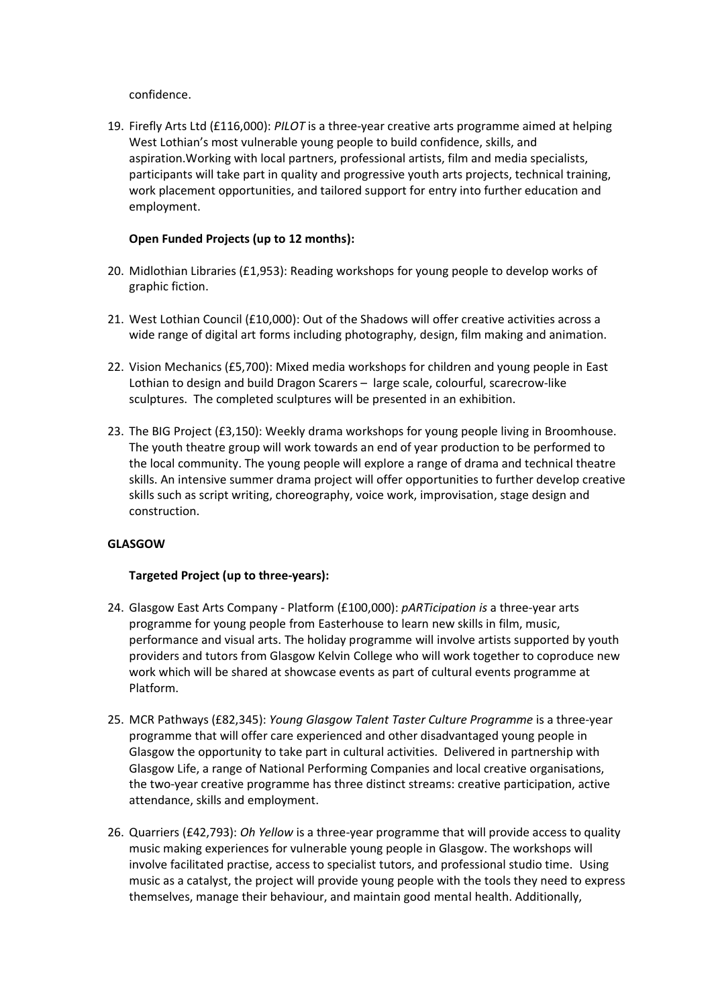confidence.

19. Firefly Arts Ltd (£116,000): *PILOT* is a three-year creative arts programme aimed at helping West Lothian's most vulnerable young people to build confidence, skills, and aspiration.Working with local partners, professional artists, film and media specialists, participants will take part in quality and progressive youth arts projects, technical training, work placement opportunities, and tailored support for entry into further education and employment.

## **Open Funded Projects (up to 12 months):**

- 20. Midlothian Libraries (£1,953): Reading workshops for young people to develop works of graphic fiction.
- 21. West Lothian Council (£10,000): Out of the Shadows will offer creative activities across a wide range of digital art forms including photography, design, film making and animation.
- 22. Vision Mechanics (£5,700): Mixed media workshops for children and young people in East Lothian to design and build Dragon Scarers – large scale, colourful, scarecrow-like sculptures. The completed sculptures will be presented in an exhibition.
- 23. The BIG Project (£3,150): Weekly drama workshops for young people living in Broomhouse. The youth theatre group will work towards an end of year production to be performed to the local community. The young people will explore a range of drama and technical theatre skills. An intensive summer drama project will offer opportunities to further develop creative skills such as script writing, choreography, voice work, improvisation, stage design and construction.

## **GLASGOW**

## **Targeted Project (up to three-years):**

- 24. Glasgow East Arts Company Platform (£100,000): *pARTicipation is* a three-year arts programme for young people from Easterhouse to learn new skills in film, music, performance and visual arts. The holiday programme will involve artists supported by youth providers and tutors from Glasgow Kelvin College who will work together to coproduce new work which will be shared at showcase events as part of cultural events programme at Platform.
- 25. MCR Pathways (£82,345): *Young Glasgow Talent Taster Culture Programme* is a three-year programme that will offer care experienced and other disadvantaged young people in Glasgow the opportunity to take part in cultural activities. Delivered in partnership with Glasgow Life, a range of National Performing Companies and local creative organisations, the two-year creative programme has three distinct streams: creative participation, active attendance, skills and employment.
- 26. Quarriers (£42,793): *Oh Yellow* is a three-year programme that will provide access to quality music making experiences for vulnerable young people in Glasgow. The workshops will involve facilitated practise, access to specialist tutors, and professional studio time. Using music as a catalyst, the project will provide young people with the tools they need to express themselves, manage their behaviour, and maintain good mental health. Additionally,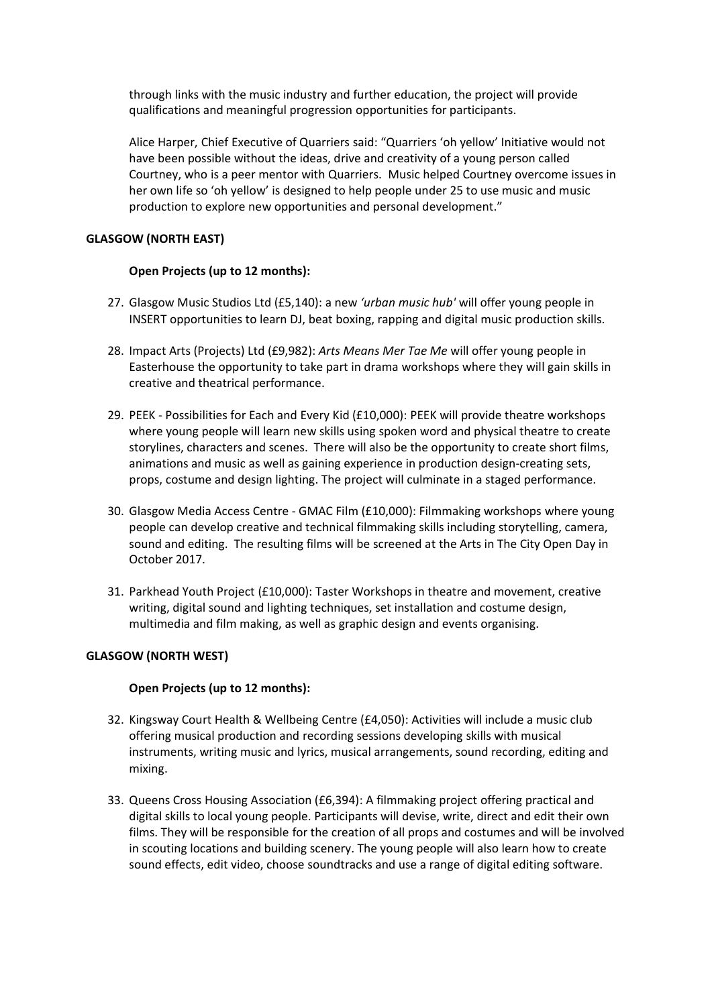through links with the music industry and further education, the project will provide qualifications and meaningful progression opportunities for participants.

Alice Harper, Chief Executive of Quarriers said: "Quarriers 'oh yellow' Initiative would not have been possible without the ideas, drive and creativity of a young person called Courtney, who is a peer mentor with Quarriers. Music helped Courtney overcome issues in her own life so 'oh yellow' is designed to help people under 25 to use music and music production to explore new opportunities and personal development."

## **GLASGOW (NORTH EAST)**

## **Open Projects (up to 12 months):**

- 27. Glasgow Music Studios Ltd (£5,140): a new *'urban music hub'* will offer young people in INSERT opportunities to learn DJ, beat boxing, rapping and digital music production skills.
- 28. Impact Arts (Projects) Ltd (£9,982): *Arts Means Mer Tae Me* will offer young people in Easterhouse the opportunity to take part in drama workshops where they will gain skills in creative and theatrical performance.
- 29. PEEK Possibilities for Each and Every Kid (£10,000): PEEK will provide theatre workshops where young people will learn new skills using spoken word and physical theatre to create storylines, characters and scenes. There will also be the opportunity to create short films, animations and music as well as gaining experience in production design-creating sets, props, costume and design lighting. The project will culminate in a staged performance.
- 30. Glasgow Media Access Centre GMAC Film (£10,000): Filmmaking workshops where young people can develop creative and technical filmmaking skills including storytelling, camera, sound and editing. The resulting films will be screened at the Arts in The City Open Day in October 2017.
- 31. Parkhead Youth Project (£10,000): Taster Workshops in theatre and movement, creative writing, digital sound and lighting techniques, set installation and costume design, multimedia and film making, as well as graphic design and events organising.

## **GLASGOW (NORTH WEST)**

## **Open Projects (up to 12 months):**

- 32. Kingsway Court Health & Wellbeing Centre (£4,050): Activities will include a music club offering musical production and recording sessions developing skills with musical instruments, writing music and lyrics, musical arrangements, sound recording, editing and mixing.
- 33. Queens Cross Housing Association (£6,394): A filmmaking project offering practical and digital skills to local young people. Participants will devise, write, direct and edit their own films. They will be responsible for the creation of all props and costumes and will be involved in scouting locations and building scenery. The young people will also learn how to create sound effects, edit video, choose soundtracks and use a range of digital editing software.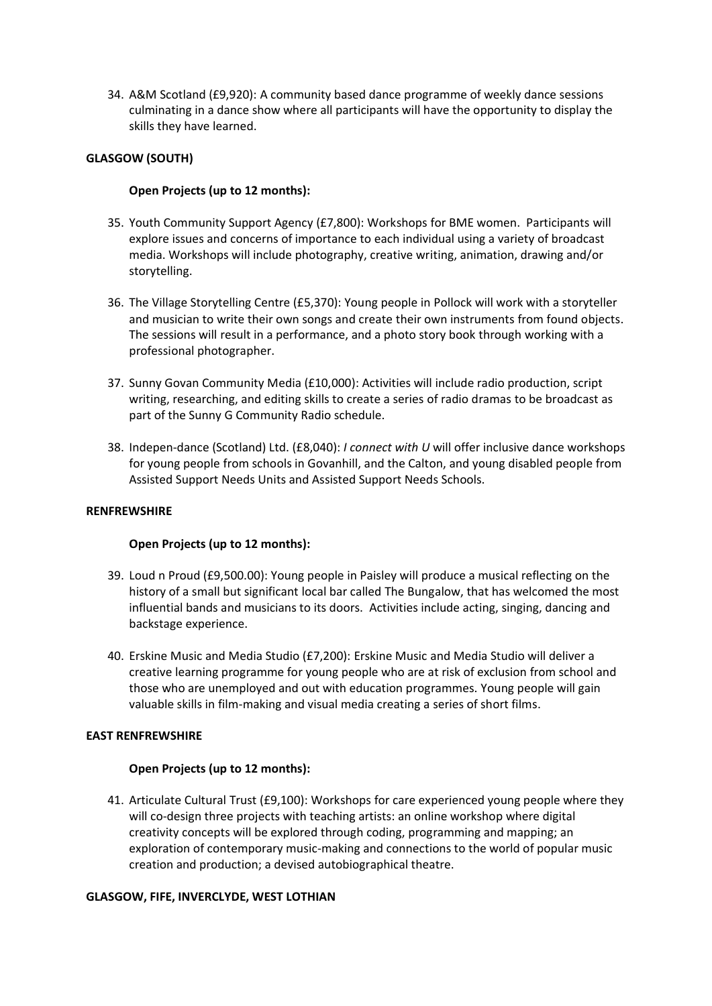34. A&M Scotland (£9,920): A community based dance programme of weekly dance sessions culminating in a dance show where all participants will have the opportunity to display the skills they have learned.

## **GLASGOW (SOUTH)**

## **Open Projects (up to 12 months):**

- 35. Youth Community Support Agency (£7,800): Workshops for BME women. Participants will explore issues and concerns of importance to each individual using a variety of broadcast media. Workshops will include photography, creative writing, animation, drawing and/or storytelling.
- 36. The Village Storytelling Centre (£5,370): Young people in Pollock will work with a storyteller and musician to write their own songs and create their own instruments from found objects. The sessions will result in a performance, and a photo story book through working with a professional photographer.
- 37. Sunny Govan Community Media (£10,000): Activities will include radio production, script writing, researching, and editing skills to create a series of radio dramas to be broadcast as part of the Sunny G Community Radio schedule.
- 38. Indepen-dance (Scotland) Ltd. (£8,040): *I connect with U* will offer inclusive dance workshops for young people from schools in Govanhill, and the Calton, and young disabled people from Assisted Support Needs Units and Assisted Support Needs Schools.

## **RENFREWSHIRE**

## **Open Projects (up to 12 months):**

- 39. Loud n Proud (£9,500.00): Young people in Paisley will produce a musical reflecting on the history of a small but significant local bar called The Bungalow, that has welcomed the most influential bands and musicians to its doors. Activities include acting, singing, dancing and backstage experience.
- 40. Erskine Music and Media Studio (£7,200): Erskine Music and Media Studio will deliver a creative learning programme for young people who are at risk of exclusion from school and those who are unemployed and out with education programmes. Young people will gain valuable skills in film-making and visual media creating a series of short films.

## **EAST RENFREWSHIRE**

## **Open Projects (up to 12 months):**

41. Articulate Cultural Trust (£9,100): Workshops for care experienced young people where they will co-design three projects with teaching artists: an online workshop where digital creativity concepts will be explored through coding, programming and mapping; an exploration of contemporary music-making and connections to the world of popular music creation and production; a devised autobiographical theatre.

## **GLASGOW, FIFE, INVERCLYDE, WEST LOTHIAN**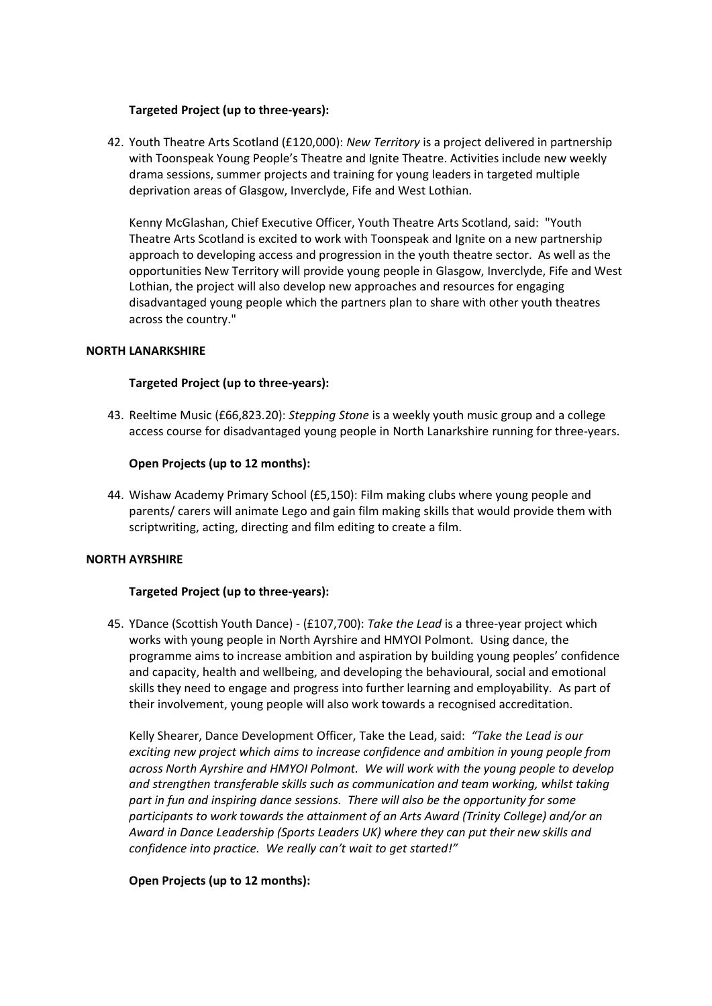## **Targeted Project (up to three-years):**

42. Youth Theatre Arts Scotland (£120,000): *New Territory* is a project delivered in partnership with Toonspeak Young People's Theatre and Ignite Theatre. Activities include new weekly drama sessions, summer projects and training for young leaders in targeted multiple deprivation areas of Glasgow, Inverclyde, Fife and West Lothian.

Kenny McGlashan, Chief Executive Officer, Youth Theatre Arts Scotland, said: "Youth Theatre Arts Scotland is excited to work with Toonspeak and Ignite on a new partnership approach to developing access and progression in the youth theatre sector. As well as the opportunities New Territory will provide young people in Glasgow, Inverclyde, Fife and West Lothian, the project will also develop new approaches and resources for engaging disadvantaged young people which the partners plan to share with other youth theatres across the country."

#### **NORTH LANARKSHIRE**

#### **Targeted Project (up to three-years):**

43. Reeltime Music (£66,823.20): *Stepping Stone* is a weekly youth music group and a college access course for disadvantaged young people in North Lanarkshire running for three-years.

#### **Open Projects (up to 12 months):**

44. Wishaw Academy Primary School (£5,150): Film making clubs where young people and parents/ carers will animate Lego and gain film making skills that would provide them with scriptwriting, acting, directing and film editing to create a film.

#### **NORTH AYRSHIRE**

## **Targeted Project (up to three-years):**

45. YDance (Scottish Youth Dance) - (£107,700): *Take the Lead* is a three-year project which works with young people in North Ayrshire and HMYOI Polmont. Using dance, the programme aims to increase ambition and aspiration by building young peoples' confidence and capacity, health and wellbeing, and developing the behavioural, social and emotional skills they need to engage and progress into further learning and employability. As part of their involvement, young people will also work towards a recognised accreditation.

Kelly Shearer, Dance Development Officer, Take the Lead, said: *"Take the Lead is our exciting new project which aims to increase confidence and ambition in young people from across North Ayrshire and HMYOI Polmont. We will work with the young people to develop and strengthen transferable skills such as communication and team working, whilst taking part in fun and inspiring dance sessions. There will also be the opportunity for some participants to work towards the attainment of an Arts Award (Trinity College) and/or an Award in Dance Leadership (Sports Leaders UK) where they can put their new skills and confidence into practice. We really can't wait to get started!"* 

## **Open Projects (up to 12 months):**